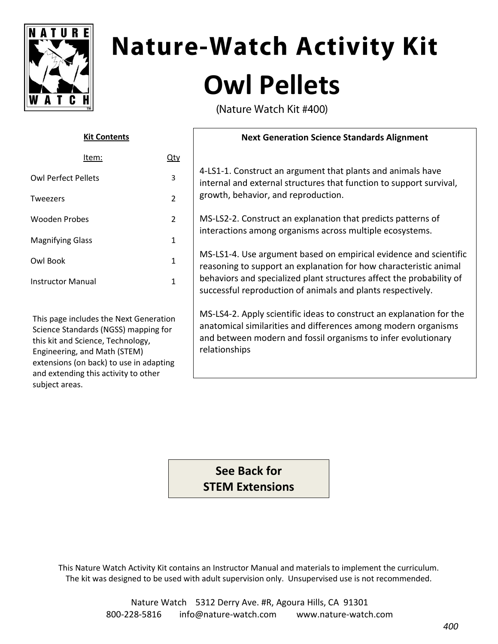

and extending this activity to other

subject areas.

# **Nature-Watch Activity Kit Owl Pellets**

(Nature Watch Kit #400)

| <b>Kit Contents</b>                                                                                                                                                                            |                | <b>Next Generation Science Standards Alignment</b>                                                                                                                                                                                                                            |
|------------------------------------------------------------------------------------------------------------------------------------------------------------------------------------------------|----------------|-------------------------------------------------------------------------------------------------------------------------------------------------------------------------------------------------------------------------------------------------------------------------------|
| Item:                                                                                                                                                                                          | <u>Qty</u>     |                                                                                                                                                                                                                                                                               |
| <b>Owl Perfect Pellets</b>                                                                                                                                                                     | 3              | 4-LS1-1. Construct an argument that plants and animals have<br>internal and external structures that function to support survival,<br>growth, behavior, and reproduction.                                                                                                     |
| Tweezers                                                                                                                                                                                       | $\overline{2}$ |                                                                                                                                                                                                                                                                               |
| <b>Wooden Probes</b>                                                                                                                                                                           | $2^{\circ}$    | MS-LS2-2. Construct an explanation that predicts patterns of<br>interactions among organisms across multiple ecosystems.                                                                                                                                                      |
| <b>Magnifying Glass</b>                                                                                                                                                                        | $\mathbf{1}$   |                                                                                                                                                                                                                                                                               |
| Owl Book                                                                                                                                                                                       | $\mathbf{1}$   | MS-LS1-4. Use argument based on empirical evidence and scientific<br>reasoning to support an explanation for how characteristic animal<br>behaviors and specialized plant structures affect the probability of<br>successful reproduction of animals and plants respectively. |
| <b>Instructor Manual</b>                                                                                                                                                                       | $\mathbf{1}$   |                                                                                                                                                                                                                                                                               |
| This page includes the Next Generation<br>Science Standards (NGSS) mapping for<br>this kit and Science, Technology,<br>Engineering, and Math (STEM)<br>extensions (on back) to use in adapting |                | MS-LS4-2. Apply scientific ideas to construct an explanation for the<br>anatomical similarities and differences among modern organisms<br>and between modern and fossil organisms to infer evolutionary<br>relationships                                                      |

**See Back for STEM Extensions**

This Nature Watch Activity Kit contains an Instructor Manual and materials to implement the curriculum. The kit was designed to be used with adult supervision only. Unsupervised use is not recommended.